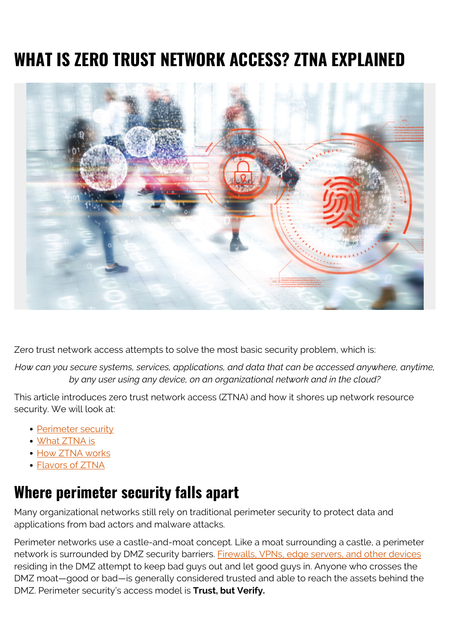# **WHAT IS ZERO TRUST NETWORK ACCESS? ZTNA EXPLAINED**



Zero trust network access attempts to solve the most basic security problem, which is:

*How can you secure systems, services, applications, and data that can be accessed anywhere, anytime, by any user using any device, on an organizational network and in the cloud?*

This article introduces zero trust network access (ZTNA) and how it shores up network resource security. We will look at:

- [Perimeter security](#page--1-0)
- [What ZTNA is](#page--1-0)
- [How ZTNA works](#page--1-0)
- [Flavors of ZTNA](#page--1-0)

#### **Where perimeter security falls apart**

Many organizational networks still rely on traditional perimeter security to protect data and applications from bad actors and malware attacks.

Perimeter networks use a castle-and-moat concept. Like a moat surrounding a castle, a perimeter network is surrounded by DMZ security barriers. [Firewalls, VPNs, edge servers, and other devices](https://blogs.bmc.com/blogs/what-is-it-infrastructure-and-what-are-its-components/) residing in the DMZ attempt to keep bad guys out and let good guys in. Anyone who crosses the DMZ moat—good or bad—is generally considered trusted and able to reach the assets behind the DMZ. Perimeter security's access model is **Trust, but Verify.**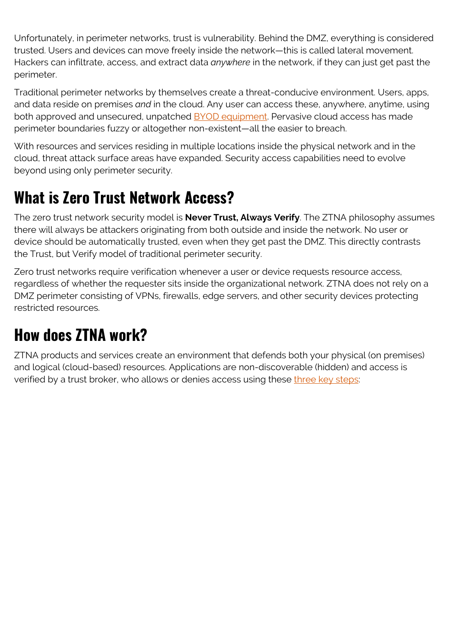Unfortunately, in perimeter networks, trust is vulnerability. Behind the DMZ, everything is considered trusted. Users and devices can move freely inside the network—this is called lateral movement. Hackers can infiltrate, access, and extract data *anywhere* in the network, if they can just get past the perimeter.

Traditional perimeter networks by themselves create a threat-conducive environment. Users, apps, and data reside on premises *and* in the cloud. Any user can access these, anywhere, anytime, using both approved and unsecured, unpatched **BYOD** equipment. Pervasive cloud access has made perimeter boundaries fuzzy or altogether non-existent—all the easier to breach.

With resources and services residing in multiple locations inside the physical network and in the cloud, threat attack surface areas have expanded. Security access capabilities need to evolve beyond using only perimeter security.

## **What is Zero Trust Network Access?**

The zero trust network security model is **Never Trust, Always Verify**. The ZTNA philosophy assumes there will always be attackers originating from both outside and inside the network. No user or device should be automatically trusted, even when they get past the DMZ. This directly contrasts the Trust, but Verify model of traditional perimeter security.

Zero trust networks require verification whenever a user or device requests resource access, regardless of whether the requester sits inside the organizational network. ZTNA does not rely on a DMZ perimeter consisting of VPNs, firewalls, edge servers, and other security devices protecting restricted resources.

# **How does ZTNA work?**

ZTNA products and services create an environment that defends both your physical (on premises) and logical (cloud-based) resources. Applications are non-discoverable (hidden) and access is verified by a trust broker, who allows or denies access using these [three key steps:](https://www.ekransystem.com/en/blog/zero-trust-security-model)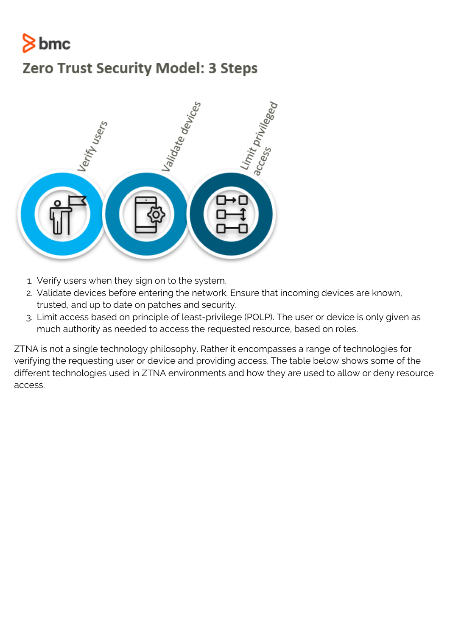# $8<sub>bmc</sub>$

#### **Zero Trust Security Model: 3 Steps**



- 1. Verify users when they sign on to the system.
- 2. Validate devices before entering the network. Ensure that incoming devices are known, trusted, and up to date on patches and security.
- 3. Limit access based on principle of least-privilege (POLP). The user or device is only given as much authority as needed to access the requested resource, based on roles.

ZTNA is not a single technology philosophy. Rather it encompasses a range of technologies for verifying the requesting user or device and providing access. The table below shows some of the different technologies used in ZTNA environments and how they are used to allow or deny resource access.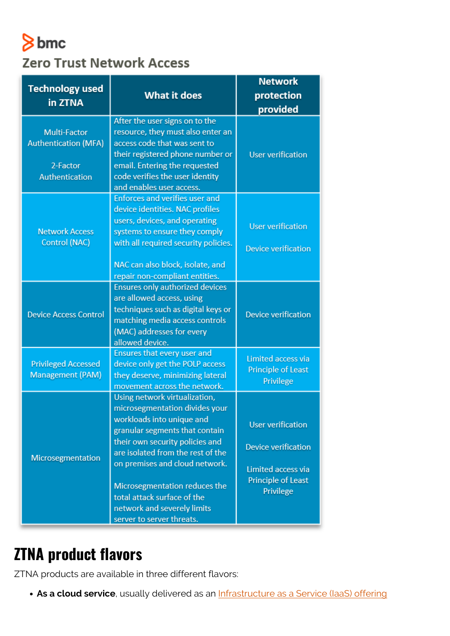# $8$  bmc **Zero Trust Network Access**

|                                                                                  |                                                                                                                                                                                                                                                                                                                                         | <b>Network</b>                                                                                                  |
|----------------------------------------------------------------------------------|-----------------------------------------------------------------------------------------------------------------------------------------------------------------------------------------------------------------------------------------------------------------------------------------------------------------------------------------|-----------------------------------------------------------------------------------------------------------------|
| <b>Technology used</b>                                                           | <b>What it does</b>                                                                                                                                                                                                                                                                                                                     | protection                                                                                                      |
| in ZTNA                                                                          |                                                                                                                                                                                                                                                                                                                                         | provided                                                                                                        |
| Multi-Factor<br><b>Authentication (MFA)</b><br>2-Factor<br><b>Authentication</b> | After the user signs on to the<br>resource, they must also enter an<br>access code that was sent to<br>their registered phone number or<br>email. Entering the requested<br>code verifies the user identity<br>and enables user access.                                                                                                 | <b>User verification</b>                                                                                        |
| <b>Network Access</b><br>Control (NAC)                                           | <b>Enforces and verifies user and</b><br>device identities. NAC profiles<br>users, devices, and operating<br>systems to ensure they comply<br>with all required security policies.<br>NAC can also block, isolate, and<br>repair non-compliant entities.                                                                                | <b>User verification</b><br><b>Device verification</b>                                                          |
| <b>Device Access Control</b>                                                     | Ensures only authorized devices<br>are allowed access, using<br>techniques such as digital keys or<br>matching media access controls<br>(MAC) addresses for every<br>allowed device.                                                                                                                                                    | <b>Device verification</b>                                                                                      |
| <b>Privileged Accessed</b><br><b>Management (PAM)</b>                            | Ensures that every user and<br>device only get the POLP access<br>they deserve, minimizing lateral<br>movement across the network.                                                                                                                                                                                                      | Limited access via<br><b>Principle of Least</b><br>Privilege                                                    |
| Microsegmentation                                                                | Using network virtualization,<br>microsegmentation divides your<br>workloads into unique and<br>granular segments that contain<br>their own security policies and<br>are isolated from the rest of the<br>on premises and cloud network.<br>Microsegmentation reduces the<br>total attack surface of the<br>network and severely limits | <b>User verification</b><br><b>Device verification</b><br>Limited access via<br>Principle of Least<br>Privilege |

### **ZTNA product flavors**

ZTNA products are available in three different flavors:

**As a cloud service**, usually delivered as an **[Infrastructure as a Service \(IaaS\) offering](https://blogs.bmc.com/blogs/saas-vs-paas-vs-iaas-whats-the-difference-and-how-to-choose/)**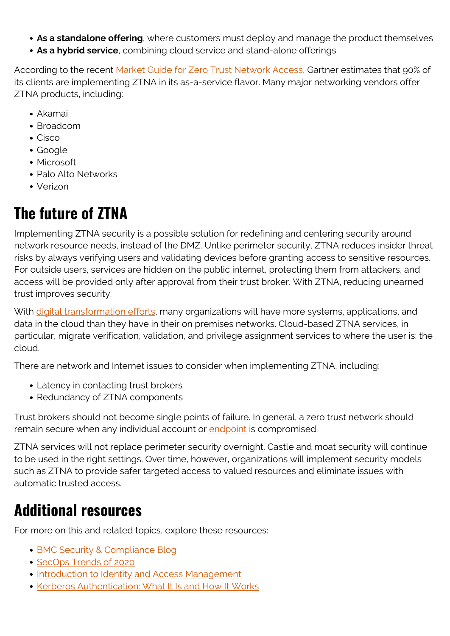- **As a standalone offering**, where customers must deploy and manage the product themselves
- **As a hybrid service**, combining cloud service and stand-alone offerings

According to the recent [Market Guide for Zero Trust Network Access,](https://www.gartner.com/doc/reprints?id=1-1Z9Y10F2&ct=200618&st=sb) Gartner estimates that 90% of its clients are implementing ZTNA in its as-a-service flavor. Many major networking vendors offer ZTNA products, including:

- Akamai
- Broadcom
- Cisco
- Google
- Microsoft
- Palo Alto Networks
- Verizon

## **The future of ZTNA**

Implementing ZTNA security is a possible solution for redefining and centering security around network resource needs, instead of the DMZ. Unlike perimeter security, ZTNA reduces insider threat risks by always verifying users and validating devices before granting access to sensitive resources. For outside users, services are hidden on the public internet, protecting them from attackers, and access will be provided only after approval from their trust broker. With ZTNA, reducing unearned trust improves security.

With [digital transformation efforts](https://blogs.bmc.com/blogs/digital-transformation-success/), many organizations will have more systems, applications, and data in the cloud than they have in their on premises networks. Cloud-based ZTNA services, in particular, migrate verification, validation, and privilege assignment services to where the user is: the cloud.

There are network and Internet issues to consider when implementing ZTNA, including:

- Latency in contacting trust brokers
- Redundancy of ZTNA components

Trust brokers should not become single points of failure. In general, a zero trust network should remain secure when any individual account or [endpoint](https://blogs.bmc.com/blogs/endpoints/) is compromised.

ZTNA services will not replace perimeter security overnight. Castle and moat security will continue to be used in the right settings. Over time, however, organizations will implement security models such as ZTNA to provide safer targeted access to valued resources and eliminate issues with automatic trusted access.

### **Additional resources**

For more on this and related topics, explore these resources:

- [BMC Security & Compliance Blog](https://blogs.bmc.com/blogs/categories/secops-security-compliance/)
- [SecOps Trends of 2020](https://blogs.bmc.com/blogs/secops-trends/)
- [Introduction to Identity and Access Management](https://blogs.bmc.com/blogs/identity-access-management/)
- [Kerberos Authentication: What It Is and How It Works](https://blogs.bmc.com/blogs/kerberos-authentication-what-is-it-how-it-works/)